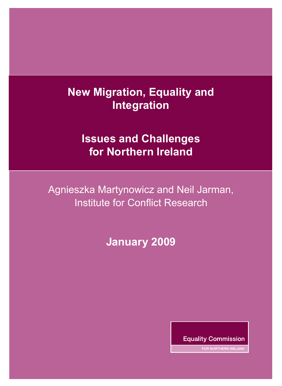# **New Migration, Equality and Integration**

# **Issues and Challenges for Northern Ireland**

Agnieszka Martynowicz and Neil Jarman, Institute for Conflict Research

**January 2009** 

**Equality Commission** 

FOR NORTHERN IRELAND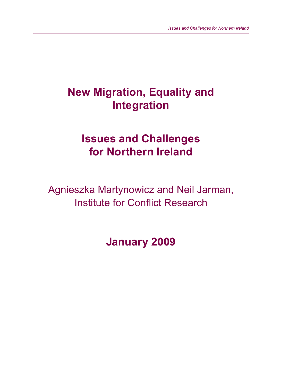# **New Migration, Equality and Integration**

# **Issues and Challenges for Northern Ireland**

Agnieszka Martynowicz and Neil Jarman, Institute for Conflict Research

**January 2009**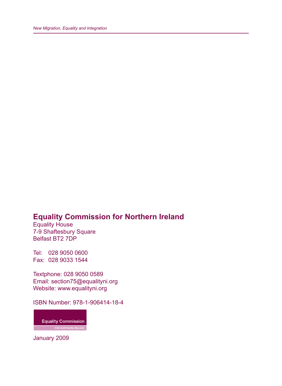### **Equality Commission for Northern Ireland**

Equality House 7-9 Shaftesbury Square Belfast BT2 7DP

Tel: 028 9050 0600 Fax: 028 9033 1544

Textphone: 028 9050 0589 Email: section75@equalityni.org Website: www.equalityni.org

ISBN Number: 978-1-906414-18-4

**Equality Commission EXAMPLE POR NORTHERN IRELAND** 

January 2009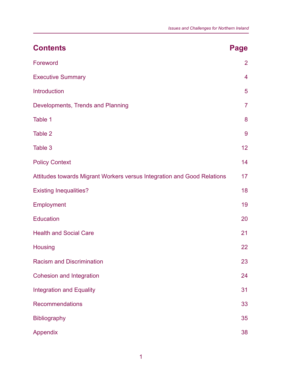| <b>Contents</b>                                                         | Page           |
|-------------------------------------------------------------------------|----------------|
| Foreword                                                                | $\overline{2}$ |
| <b>Executive Summary</b>                                                | $\overline{4}$ |
| Introduction                                                            | 5              |
| Developments, Trends and Planning                                       | $\overline{7}$ |
| Table 1                                                                 | 8              |
| Table 2                                                                 | 9              |
| Table 3                                                                 | 12             |
| <b>Policy Context</b>                                                   | 14             |
| Attitudes towards Migrant Workers versus Integration and Good Relations | 17             |
| <b>Existing Inequalities?</b>                                           | 18             |
| Employment                                                              | 19             |
| <b>Education</b>                                                        | 20             |
| <b>Health and Social Care</b>                                           | 21             |
| <b>Housing</b>                                                          | 22             |
| <b>Racism and Discrimination</b>                                        | 23             |
| <b>Cohesion and Integration</b>                                         | 24             |
| <b>Integration and Equality</b>                                         | 31             |
| <b>Recommendations</b>                                                  | 33             |
| <b>Bibliography</b>                                                     | 35             |
| Appendix                                                                | 38             |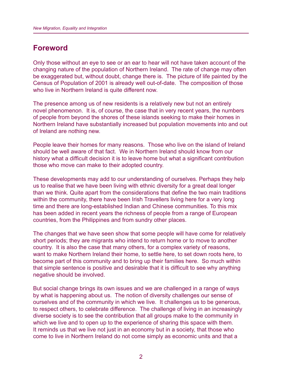#### **Foreword**

Only those without an eye to see or an ear to hear will not have taken account of the changing nature of the population of Northern Ireland. The rate of change may often be exaggerated but, without doubt, change there is. The picture of life painted by the Census of Population of 2001 is already well out-of-date. The composition of those who live in Northern Ireland is quite different now.

The presence among us of new residents is a relatively new but not an entirely novel phenomenon. It is, of course, the case that in very recent years, the numbers of people from beyond the shores of these islands seeking to make their homes in Northern Ireland have substantially increased but population movements into and out of Ireland are nothing new.

People leave their homes for many reasons. Those who live on the island of Ireland should be well aware of that fact. We in Northern Ireland should know from our history what a difficult decision it is to leave home but what a significant contribution those who move can make to their adopted country.

These developments may add to our understanding of ourselves. Perhaps they help us to realise that we have been living with ethnic diversity for a great deal longer than we think. Quite apart from the considerations that define the two main traditions within the community, there have been Irish Travellers living here for a very long time and there are long-established Indian and Chinese communities. To this mix has been added in recent years the richness of people from a range of European countries, from the Philippines and from sundry other places.

The changes that we have seen show that some people will have come for relatively short periods; they are migrants who intend to return home or to move to another country. It is also the case that many others, for a complex variety of reasons, want to make Northern Ireland their home, to settle here, to set down roots here, to become part of this community and to bring up their families here. So much within that simple sentence is positive and desirable that it is difficult to see why anything negative should be involved.

But social change brings its own issues and we are challenged in a range of ways by what is happening about us. The notion of diversity challenges our sense of ourselves and of the community in which we live. It challenges us to be generous, to respect others, to celebrate difference. The challenge of living in an increasingly diverse society is to see the contribution that all groups make to the community in which we live and to open up to the experience of sharing this space with them. It reminds us that we live not just in an economy but in a society, that those who come to live in Northern Ireland do not come simply as economic units and that a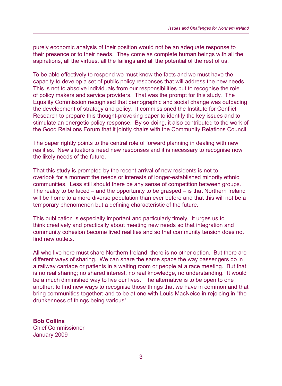purely economic analysis of their position would not be an adequate response to their presence or to their needs. They come as complete human beings with all the aspirations, all the virtues, all the failings and all the potential of the rest of us.

To be able effectively to respond we must know the facts and we must have the capacity to develop a set of public policy responses that will address the new needs. This is not to absolve individuals from our responsibilities but to recognise the role of policy makers and service providers. That was the prompt for this study. The Equality Commission recognised that demographic and social change was outpacing the development of strategy and policy. It commissioned the Institute for Conflict Research to prepare this thought-provoking paper to identify the key issues and to stimulate an energetic policy response. By so doing, it also contributed to the work of the Good Relations Forum that it jointly chairs with the Community Relations Council.

The paper rightly points to the central role of forward planning in dealing with new realities. New situations need new responses and it is necessary to recognise now the likely needs of the future.

That this study is prompted by the recent arrival of new residents is not to overlook for a moment the needs or interests of longer-established minority ethnic communities. Less still should there be any sense of competition between groups. The reality to be faced – and the opportunity to be grasped – is that Northern Ireland will be home to a more diverse population than ever before and that this will not be a temporary phenomenon but a defining characteristic of the future.

This publication is especially important and particularly timely. It urges us to think creatively and practically about meeting new needs so that integration and community cohesion become lived realities and so that community tension does not find new outlets.

All who live here must share Northern Ireland; there is no other option. But there are different ways of sharing. We can share the same space the way passengers do in a railway carriage or patients in a waiting room or people at a race meeting. But that is no real sharing; no shared interest, no real knowledge, no understanding. It would be a much diminished way to live our lives. The alternative is to be open to one another; to find new ways to recognise those things that we have in common and that bring communities together; and to be at one with Louis MacNeice in rejoicing in "the drunkenness of things being various".

**Bob Collins** Chief Commissioner January 2009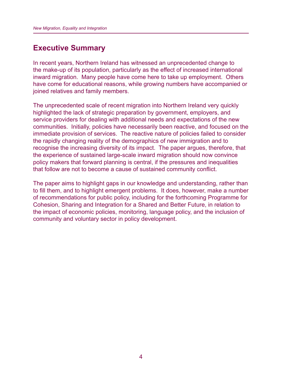#### **Executive Summary**

In recent years, Northern Ireland has witnessed an unprecedented change to the make-up of its population, particularly as the effect of increased international inward migration. Many people have come here to take up employment. Others have come for educational reasons, while growing numbers have accompanied or joined relatives and family members.

The unprecedented scale of recent migration into Northern Ireland very quickly highlighted the lack of strategic preparation by government, employers, and service providers for dealing with additional needs and expectations of the new communities. Initially, policies have necessarily been reactive, and focused on the immediate provision of services. The reactive nature of policies failed to consider the rapidly changing reality of the demographics of new immigration and to recognise the increasing diversity of its impact. The paper argues, therefore, that the experience of sustained large-scale inward migration should now convince policy makers that forward planning is central, if the pressures and inequalities that follow are not to become a cause of sustained community conflict.

The paper aims to highlight gaps in our knowledge and understanding, rather than to fill them, and to highlight emergent problems. It does, however, make a number of recommendations for public policy, including for the forthcoming Programme for Cohesion, Sharing and Integration for a Shared and Better Future, in relation to the impact of economic policies, monitoring, language policy, and the inclusion of community and voluntary sector in policy development.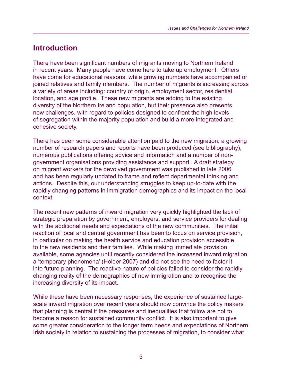## **Introduction**

There have been significant numbers of migrants moving to Northern Ireland in recent years. Many people have come here to take up employment. Others have come for educational reasons, while growing numbers have accompanied or joined relatives and family members. The number of migrants is increasing across a variety of areas including: country of origin, employment sector, residential location, and age profile. These new migrants are adding to the existing diversity of the Northern Ireland population, but their presence also presents new challenges, with regard to policies designed to confront the high levels of segregation within the majority population and build a more integrated and cohesive society.

There has been some considerable attention paid to the new migration: a growing number of research papers and reports have been produced (see bibliography), numerous publications offering advice and information and a number of nongovernment organisations providing assistance and support. A draft strategy on migrant workers for the devolved government was published in late 2006 and has been regularly updated to frame and reflect departmental thinking and actions. Despite this, our understanding struggles to keep up-to-date with the rapidly changing patterns in immigration demographics and its impact on the local context.

The recent new patterns of inward migration very quickly highlighted the lack of strategic preparation by government, employers, and service providers for dealing with the additional needs and expectations of the new communities. The initial reaction of local and central government has been to focus on service provision, in particular on making the health service and education provision accessible to the new residents and their families. While making immediate provision available, some agencies until recently considered the increased inward migration a 'temporary phenomena' (Holder 2007) and did not see the need to factor it into future planning. The reactive nature of policies failed to consider the rapidly changing reality of the demographics of new immigration and to recognise the increasing diversity of its impact.

While these have been necessary responses, the experience of sustained largescale inward migration over recent years should now convince the policy makers that planning is central if the pressures and inequalities that follow are not to become a reason for sustained community conflict. It is also important to give some greater consideration to the longer term needs and expectations of Northern Irish society in relation to sustaining the processes of migration, to consider what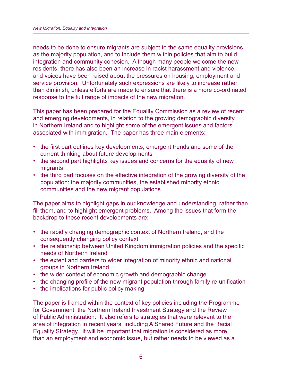needs to be done to ensure migrants are subject to the same equality provisions as the majority population, and to include them within policies that aim to build integration and community cohesion. Although many people welcome the new residents, there has also been an increase in racist harassment and violence, and voices have been raised about the pressures on housing, employment and service provision. Unfortunately such expressions are likely to increase rather than diminish, unless efforts are made to ensure that there is a more co-ordinated response to the full range of impacts of the new migration.

This paper has been prepared for the Equality Commission as a review of recent and emerging developments, in relation to the growing demographic diversity in Northern Ireland and to highlight some of the emergent issues and factors associated with immigration. The paper has three main elements:

- the first part outlines key developments, emergent trends and some of the current thinking about future developments
- the second part highlights key issues and concerns for the equality of new migrants
- the third part focuses on the effective integration of the growing diversity of the population: the majority communities, the established minority ethnic communities and the new migrant populations

The paper aims to highlight gaps in our knowledge and understanding, rather than fill them, and to highlight emergent problems. Among the issues that form the backdrop to these recent developments are:

- the rapidly changing demographic context of Northern Ireland, and the consequently changing policy context
- the relationship between United Kingdom immigration policies and the specific needs of Northern Ireland
- the extent and barriers to wider integration of minority ethnic and national groups in Northern Ireland
- the wider context of economic growth and demographic change
- the changing profile of the new migrant population through family re-unification
- the implications for public policy making

The paper is framed within the context of key policies including the Programme for Government, the Northern Ireland Investment Strategy and the Review of Public Administration. It also refers to strategies that were relevant to the area of integration in recent years, including A Shared Future and the Racial Equality Strategy. It will be important that migration is considered as more than an employment and economic issue, but rather needs to be viewed as a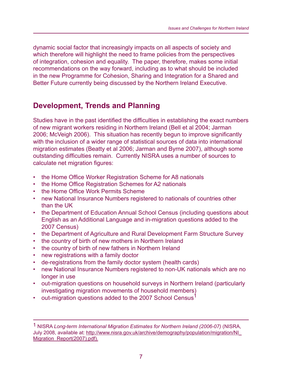dynamic social factor that increasingly impacts on all aspects of society and which therefore will highlight the need to frame policies from the perspectives of integration, cohesion and equality. The paper, therefore, makes some initial recommendations on the way forward, including as to what should be included in the new Programme for Cohesion, Sharing and Integration for a Shared and Better Future currently being discussed by the Northern Ireland Executive.

# **Development, Trends and Planning**

Studies have in the past identified the difficulties in establishing the exact numbers of new migrant workers residing in Northern Ireland (Bell et al 2004; Jarman 2006; McVeigh 2006). This situation has recently begun to improve significantly with the inclusion of a wider range of statistical sources of data into international migration estimates (Beatty et al 2006; Jarman and Byrne 2007), although some outstanding difficulties remain. Currently NISRA uses a number of sources to calculate net migration figures:

- the Home Office Worker Registration Scheme for A8 nationals
- the Home Office Registration Schemes for A2 nationals
- the Home Office Work Permits Scheme
- new National Insurance Numbers registered to nationals of countries other than the UK
- the Department of Education Annual School Census (including questions about English as an Additional Language and in-migration questions added to the 2007 Census)
- the Department of Agriculture and Rural Development Farm Structure Survey
- the country of birth of new mothers in Northern Ireland
- the country of birth of new fathers in Northern Ireland
- new registrations with a family doctor
- de-registrations from the family doctor system (health cards)
- new National Insurance Numbers registered to non-UK nationals which are no longer in use
- out-migration questions on household surveys in Northern Ireland (particularly investigating migration movements of household members)
- out-migration questions added to the 2007 School Census<sup>1</sup>

<sup>1</sup> NISRA *Long-term International Migration Estimates for Northern Ireland (2006-07)* (NISRA, July 2008, available at: http://www.nisra.gov.uk/archive/demography/population/migration/NI\_ Migration\_Report(2007).pdf).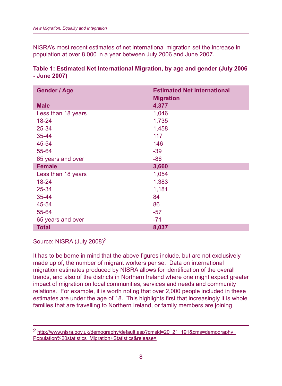NISRA's most recent estimates of net international migration set the increase in population at over 8,000 in a year between July 2006 and June 2007.

#### **Table 1: Estimated Net International Migration, by age and gender (July 2006 - June 2007)**

| <b>Gender / Age</b> | <b>Estimated Net International</b><br><b>Migration</b> |
|---------------------|--------------------------------------------------------|
| <b>Male</b>         | 4,377                                                  |
| Less than 18 years  | 1,046                                                  |
| $18 - 24$           | 1,735                                                  |
| 25-34               | 1,458                                                  |
| 35-44               | 117                                                    |
| 45-54               | 146                                                    |
| 55-64               | $-39$                                                  |
| 65 years and over   | $-86$                                                  |
| <b>Female</b>       | 3,660                                                  |
| Less than 18 years  | 1,054                                                  |
| 18-24               | 1,383                                                  |
| 25-34               | 1,181                                                  |
| 35-44               | 84                                                     |
| 45-54               | 86                                                     |
| 55-64               | $-57$                                                  |
| 65 years and over   | $-71$                                                  |
| <b>Total</b>        | 8,037                                                  |

Source: NISRA (July 2008)<sup>2</sup>

It has to be borne in mind that the above figures include, but are not exclusively made up of, the number of migrant workers per se. Data on international migration estimates produced by NISRA allows for identification of the overall trends, and also of the districts in Northern Ireland where one might expect greater impact of migration on local communities, services and needs and community relations. For example, it is worth noting that over 2,000 people included in these estimates are under the age of 18. This highlights first that increasingly it is whole families that are travelling to Northern Ireland, or family members are joining

<sup>2</sup> http://www.nisra.gov.uk/demography/default.asp?cmsid=20\_21\_191&cms=demography\_ Population%20statistics\_Migration+Statistics&release=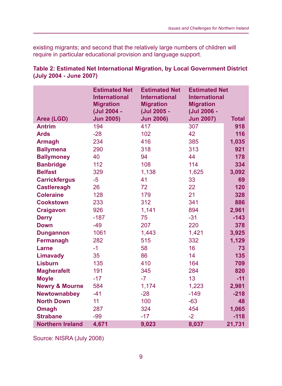existing migrants; and second that the relatively large numbers of children will require in particular educational provision and language support.

|                           | <b>Estimated Net</b><br><b>International</b><br><b>Migration</b><br>(Jul 2004 - | <b>Estimated Net</b><br><b>International</b><br><b>Migration</b><br>(Jul 2005 - | <b>Estimated Net</b><br><b>International</b><br><b>Migration</b><br>(Jul 2006 - |              |
|---------------------------|---------------------------------------------------------------------------------|---------------------------------------------------------------------------------|---------------------------------------------------------------------------------|--------------|
| Area (LGD)                | <b>Jun 2005)</b>                                                                | <b>Jun 2006)</b>                                                                | <b>Jun 2007)</b>                                                                | <b>Total</b> |
| <b>Antrim</b>             | 194                                                                             | 417                                                                             | 307                                                                             | 918          |
| <b>Ards</b>               | $-28$                                                                           | 102                                                                             | 42                                                                              | 116          |
| <b>Armagh</b>             | 234                                                                             | 416                                                                             | 385                                                                             | 1,035        |
| <b>Ballymena</b>          | 290                                                                             | 318                                                                             | 313                                                                             | 921          |
| <b>Ballymoney</b>         | 40                                                                              | 94                                                                              | 44                                                                              | 178          |
| <b>Banbridge</b>          | 112                                                                             | 108                                                                             | 114                                                                             | 334          |
| <b>Belfast</b>            | 329                                                                             | 1,138                                                                           | 1,625                                                                           | 3,092        |
| <b>Carrickfergus</b>      | $-5$                                                                            | 41                                                                              | 33                                                                              | 69           |
| <b>Castlereagh</b>        | 26                                                                              | 72                                                                              | 22                                                                              | 120          |
| <b>Coleraine</b>          | 128                                                                             | 179                                                                             | 21                                                                              | 328          |
| <b>Cookstown</b>          | 233                                                                             | 312                                                                             | 341                                                                             | 886          |
| <b>Craigavon</b>          | 926                                                                             | 1,141                                                                           | 894                                                                             | 2,961        |
| <b>Derry</b>              | $-187$                                                                          | 75                                                                              | $-31$                                                                           | $-143$       |
| <b>Down</b>               | $-49$                                                                           | 207                                                                             | 220                                                                             | 378          |
| <b>Dungannon</b>          | 1061                                                                            | 1,443                                                                           | 1,421                                                                           | 3,925        |
| <b>Fermanagh</b>          | 282                                                                             | 515                                                                             | 332                                                                             | 1,129        |
| Larne                     | $-1$                                                                            | 58                                                                              | 16                                                                              | 73           |
| <b>Limavady</b>           | 35                                                                              | 86                                                                              | 14                                                                              | 135          |
| <b>Lisburn</b>            | 135                                                                             | 410                                                                             | 164                                                                             | 709          |
| <b>Magherafelt</b>        | 191                                                                             | 345                                                                             | 284                                                                             | 820          |
| <b>Moyle</b>              | $-17$                                                                           | $-7$                                                                            | 13                                                                              | $-11$        |
| <b>Newry &amp; Mourne</b> | 584                                                                             | 1,174                                                                           | 1,223                                                                           | 2,981        |
| <b>Newtownabbey</b>       | $-41$                                                                           | $-28$                                                                           | $-149$                                                                          | $-218$       |
| <b>North Down</b>         | 11                                                                              | 100                                                                             | $-63$                                                                           | 48           |
| <b>Omagh</b>              | 287                                                                             | 324                                                                             | 454                                                                             | 1,065        |
| <b>Strabane</b>           | $-99$                                                                           | $-17$                                                                           | $-2$                                                                            | $-118$       |
| <b>Northern Ireland</b>   | 4,671                                                                           | 9,023                                                                           | 8,037                                                                           | 21,731       |

**Table 2: Estimated Net International Migration, by Local Government District (July 2004 - June 2007)**

Source: NISRA (July 2008)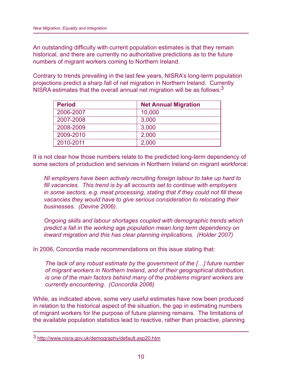An outstanding difficulty with current population estimates is that they remain historical, and there are currently no authoritative predictions as to the future numbers of migrant workers coming to Northern Ireland.

Contrary to trends prevailing in the last few years, NISRA's long-term population projections predict a sharp fall of net migration in Northern Ireland. Currently NISRA estimates that the overall annual net migration will be as follows: $3$ 

| <b>Period</b> | <b>Net Annual Migration</b> |
|---------------|-----------------------------|
| 2006-2007     | 10,000                      |
| 2007-2008     | 3,000                       |
| 2008-2009     | 3,000                       |
| 2009-2010     | 2,000                       |
| 2010-2011     | 2,000                       |

It is not clear how those numbers relate to the predicted long-term dependency of some sectors of production and services in Northern Ireland on migrant workforce:

*NI employers have been actively recruiting foreign labour to take up hard to*  fill vacancies. This trend is by all accounts set to continue with employers *in some sectors, e.g. meat processing, stating that if they could not fill these vacancies they would have to give serious consideration to relocating their businesses. (Devine 2006).*

*Ongoing skills and labour shortages coupled with demographic trends which predict a fall in the working age population mean long term dependency on inward migration and this has clear planning implications. (Holder 2007)*

In 2006, Concordia made recommendations on this issue stating that:

*The lack of any robust estimate by the government of the […] future number of migrant workers in Northern Ireland, and of their geographical distribution, is one of the main factors behind many of the problems migrant workers are currently encountering. (Concordia 2006)*

While, as indicated above, some very useful estimates have now been produced in relation to the historical aspect of the situation, the gap in estimating numbers of migrant workers for the purpose of future planning remains. The limitations of the available population statistics lead to reactive, rather than proactive, planning

<sup>3</sup> http://www.nisra.gov.uk/demography/default.asp20.htm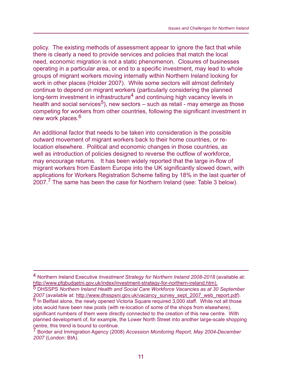policy. The existing methods of assessment appear to ignore the fact that while there is clearly a need to provide services and policies that match the local need, economic migration is not a static phenomenon. Closures of businesses operating in a particular area, or end to a specific investment, may lead to whole groups of migrant workers moving internally within Northern Ireland looking for work in other places (Holder 2007). While some sectors will almost definitely continue to depend on migrant workers (particularly considering the planned long-term investment in infrastructure<sup>4</sup> and continuing high vacancy levels in health and social services<sup>5</sup>), new sectors – such as retail - may emerge as those competing for workers from other countries, following the significant investment in new work places.<sup>6</sup>

An additional factor that needs to be taken into consideration is the possible outward movement of migrant workers back to their home countries, or relocation elsewhere. Political and economic changes in those countries, as well as introduction of policies designed to reverse the outflow of workforce, may encourage returns. It has been widely reported that the large in-flow of migrant workers from Eastern Europe into the UK significantly slowed down, with applications for Workers Registration Scheme falling by 18% in the last quarter of 2007.7 The same has been the case for Northern Ireland (see: Table 3 below).

<sup>4</sup> Northern Ireland Executive *Investment Strategy for Northern Ireland 2008-2018* (available at: http://www.pfgbudgetni.gov.uk/index/investment-strategy-for-northern-ireland.htm).

<sup>5</sup> DHSSPS *Northern Ireland Health and Social Care Workforce Vacancies as at 30 September 2007* (available at: http://www.dhsspsni.gov.uk/vacancy\_survey\_sept\_2007\_web\_report.pdf).<br><sup>6</sup> In Belfast alone, the newly opened Victoria Square required 3,000 staff. While not all those jobs would have been new posts (with re-location of some of the shops from elsewhere), significant numbers of them were directly connected to the creation of this new centre. With planned development of, for example, the Lower North Street into another large-scale shopping centre, this trend is bound to continue.

<sup>7</sup> Border and Immigration Agency (2008) *Accession Monitoring Report, May 2004-December 2007* (London: BIA).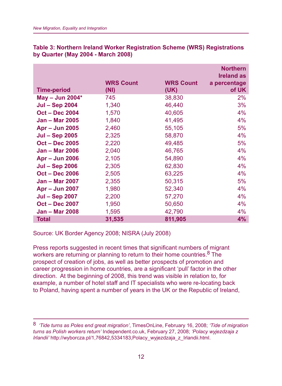|                       | <b>WRS Count</b> | <b>WRS Count</b> | <b>Northern</b><br><b>Ireland as</b><br>a percentage |
|-----------------------|------------------|------------------|------------------------------------------------------|
| <b>Time-period</b>    | (NI)             | (UK)             | of UK                                                |
| May - Jun 2004*       | 745              | 38,830           | 2%                                                   |
| <b>Jul - Sep 2004</b> | 1,340            | 46,440           | 3%                                                   |
| <b>Oct - Dec 2004</b> | 1,570            | 40,605           | 4%                                                   |
| <b>Jan - Mar 2005</b> | 1,840            | 41,495           | 4%                                                   |
| <b>Apr - Jun 2005</b> | 2,460            | 55,105           | 5%                                                   |
| <b>Jul - Sep 2005</b> | 2,325            | 58,870           | 4%                                                   |
| <b>Oct - Dec 2005</b> | 2,220            | 49,485           | 5%                                                   |
| <b>Jan - Mar 2006</b> | 2,040            | 46,765           | 4%                                                   |
| <b>Apr - Jun 2006</b> | 2,105            | 54,890           | 4%                                                   |
| <b>Jul – Sep 2006</b> | 2,305            | 62,830           | 4%                                                   |
| <b>Oct - Dec 2006</b> | 2,505            | 63,225           | 4%                                                   |
| <b>Jan – Mar 2007</b> | 2,355            | 50,315           | 5%                                                   |
| <b>Apr - Jun 2007</b> | 1,980            | 52,340           | 4%                                                   |
| <b>Jul - Sep 2007</b> | 2,200            | 57,270           | 4%                                                   |
| <b>Oct - Dec 2007</b> | 1,950            | 50,650           | 4%                                                   |
| <b>Jan - Mar 2008</b> | 1,595            | 42,790           | 4%                                                   |
| <b>Total</b>          | 31,535           | 811,905          | 4%                                                   |

**Table 3: Northern Ireland Worker Registration Scheme (WRS) Registrations by Quarter (May 2004 - March 2008)**

Source: UK Border Agency 2008; NISRA (July 2008)

Press reports suggested in recent times that significant numbers of migrant workers are returning or planning to return to their home countries.<sup>8</sup> The prospect of creation of jobs, as well as better prospects of promotion and career progression in home countries, are a significant 'pull' factor in the other direction. At the beginning of 2008, this trend was visible in relation to, for example, a number of hotel staff and IT specialists who were re-locating back to Poland, having spent a number of years in the UK or the Republic of Ireland,

<sup>8</sup> *'Tide turns as Poles end great migration'*, TimesOnLine, February 16, 2008; *'Tide of migration turns as Polish workers return'* Independent.co.uk, February 27, 2008; *'Polacy wyjezdzaja z Irlandii'* http://wyborcza.pl/1,76842,5334183,Polacy\_wyjezdzaja\_z\_Irlandii.html.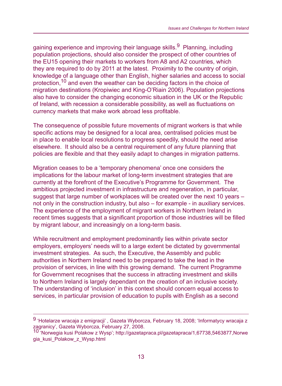gaining experience and improving their language skills.<sup>9</sup> Planning, including population projections, should also consider the prospect of other countries of the EU15 opening their markets to workers from A8 and A2 countries, which they are required to do by 2011 at the latest. Proximity to the country of origin, knowledge of a language other than English, higher salaries and access to social protection,10 and even the weather can be deciding factors in the choice of migration destinations (Kropiwiec and King-O'Riain 2006). Population projections also have to consider the changing economic situation in the UK or the Republic of Ireland, with recession a considerable possibility, as well as fluctuations on currency markets that make work abroad less profitable.

The consequence of possible future movements of migrant workers is that while specific actions may be designed for a local area, centralised policies must be in place to enable local resolutions to progress speedily, should the need arise elsewhere. It should also be a central requirement of any future planning that policies are flexible and that they easily adapt to changes in migration patterns.

Migration ceases to be a 'temporary phenomena' once one considers the implications for the labour market of long-term investment strategies that are currently at the forefront of the Executive's Programme for Government. The ambitious projected investment in infrastructure and regeneration, in particular, suggest that large number of workplaces will be created over the next 10 years – not only in the construction industry, but also – for example - in auxiliary services. The experience of the employment of migrant workers in Northern Ireland in recent times suggests that a significant proportion of those industries will be filled by migrant labour, and increasingly on a long-term basis.

While recruitment and employment predominantly lies within private sector employers, employers' needs will to a large extent be dictated by governmental investment strategies. As such, the Executive, the Assembly and public authorities in Northern Ireland need to be prepared to take the lead in the provision of services, in line with this growing demand. The current Programme for Government recognises that the success in attracting investment and skills to Northern Ireland is largely dependant on the creation of an inclusive society. The understanding of 'inclusion' in this context should concern equal access to services, in particular provision of education to pupils with English as a second

<sup>9 &#</sup>x27;Hotelarze wracaja z emigracji' , Gazeta Wyborcza, February 18, 2008; 'Informatycy wracaja z zagranicy', Gazeta Wyborcza, February 27, 2008.

<sup>10 &#</sup>x27;Norwegia kusi Polakow z Wysp'; http://gazetapraca.pl/gazetapraca/1,67738,5463877,Norwe gia\_kusi\_Polakow\_z\_Wysp.html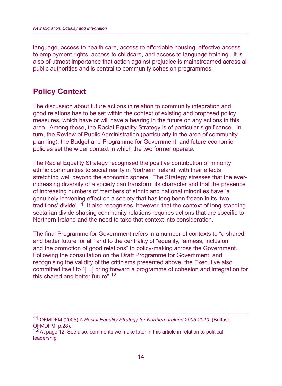language, access to health care, access to affordable housing, effective access to employment rights, access to childcare, and access to language training. It is also of utmost importance that action against prejudice is mainstreamed across all public authorities and is central to community cohesion programmes.

#### **Policy Context**

The discussion about future actions in relation to community integration and good relations has to be set within the context of existing and proposed policy measures, which have or will have a bearing in the future on any actions in this area. Among these, the Racial Equality Strategy is of particular significance. In turn, the Review of Public Administration (particularly in the area of community planning), the Budget and Programme for Government, and future economic policies set the wider context in which the two former operate.

The Racial Equality Strategy recognised the positive contribution of minority ethnic communities to social reality in Northern Ireland, with their effects stretching well beyond the economic sphere. The Strategy stresses that the everincreasing diversity of a society can transform its character and that the presence of increasing numbers of members of ethnic and national minorities have 'a genuinely leavening effect on a society that has long been frozen in its 'two traditions' divide'.<sup>11</sup> It also recognises, however, that the context of long-standing sectarian divide shaping community relations requires actions that are specific to Northern Ireland and the need to take that context into consideration.

The final Programme for Government refers in a number of contexts to "a shared and better future for all" and to the centrality of "equality, fairness, inclusion and the promotion of good relations" to policy-making across the Government. Following the consultation on the Draft Programme for Government, and recognising the validity of the criticisms presented above, the Executive also committed itself to "[…] bring forward a programme of cohesion and integration for this shared and better future".<sup>12</sup>

<sup>11</sup> OFMDFM (2005) *A Racial Equality Strategy for Northern Ireland 2005-2010*, (Belfast: OFMDFM; p.28).

<sup>&</sup>lt;sup>12</sup> At page 12. See also: comments we make later in this article in relation to political leadership.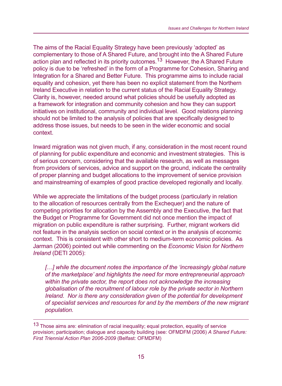The aims of the Racial Equality Strategy have been previously 'adopted' as complementary to those of A Shared Future, and brought into the A Shared Future action plan and reflected in its priority outcomes.<sup>13</sup> However, the A Shared Future policy is due to be 'refreshed' in the form of a Programme for Cohesion, Sharing and Integration for a Shared and Better Future. This programme aims to include racial equality and cohesion, yet there has been no explicit statement from the Northern Ireland Executive in relation to the current status of the Racial Equality Strategy. Clarity is, however, needed around what policies should be usefully adopted as a framework for integration and community cohesion and how they can support initiatives on institutional, community and individual level. Good relations planning should not be limited to the analysis of policies that are specifically designed to address those issues, but needs to be seen in the wider economic and social context.

Inward migration was not given much, if any, consideration in the most recent round of planning for public expenditure and economic and investment strategies. This is of serious concern, considering that the available research, as well as messages from providers of services, advice and support on the ground, indicate the centrality of proper planning and budget allocations to the improvement of service provision and mainstreaming of examples of good practice developed regionally and locally.

While we appreciate the limitations of the budget process (particularly in relation to the allocation of resources centrally from the Exchequer) and the nature of competing priorities for allocation by the Assembly and the Executive, the fact that the Budget or Programme for Government did not once mention the impact of migration on public expenditure is rather surprising. Further, migrant workers did not feature in the analysis section on social context or in the analysis of economic context. This is consistent with other short to medium-term economic policies. As Jarman (2006) pointed out while commenting on the *Economic Vision for Northern Ireland* (DETI 2005):

*[…] while the document notes the importance of the 'increasingly global nature of the marketplace' and highlights the need for more entrepreneurial approach within the private sector, the report does not acknowledge the increasing globalisation of the recruitment of labour role by the private sector in Northern Ireland. Nor is there any consideration given of the potential for development of specialist services and resources for and by the members of the new migrant population.* 

<sup>13</sup> Those aims are: elimination of racial inequality; equal protection, equality of service provision; participation; dialogue and capacity building (see: OFMDFM (2006) *A Shared Future: First Triennial Action Plan 2006-2009* (Belfast: OFMDFM)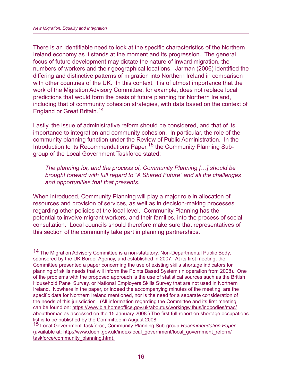There is an identifiable need to look at the specific characteristics of the Northern Ireland economy as it stands at the moment and its progression. The general focus of future development may dictate the nature of inward migration, the numbers of workers and their geographical locations. Jarman (2006) identified the differing and distinctive patterns of migration into Northern Ireland in comparison with other countries of the UK. In this context, it is of utmost importance that the work of the Migration Advisory Committee, for example, does not replace local predictions that would form the basis of future planning for Northern Ireland, including that of community cohesion strategies, with data based on the context of England or Great Britain.<sup>14</sup>

Lastly, the issue of administrative reform should be considered, and that of its importance to integration and community cohesion. In particular, the role of the community planning function under the Review of Public Administration. In the Introduction to its Recommendations Paper,<sup>15</sup> the Community Planning Subgroup of the Local Government Taskforce stated:

*The planning for, and the process of, Community Planning […] should be brought forward with full regard to "A Shared Future" and all the challenges and opportunities that that presents.*

When introduced, Community Planning will play a major role in allocation of resources and provision of services, as well as in decision-making processes regarding other policies at the local level. Community Planning has the potential to involve migrant workers, and their families, into the process of social consultation. Local councils should therefore make sure that representatives of this section of the community take part in planning partnerships.

14 The Migration Advisory Committee is a non-statutory, Non-Departmental Public Body, sponsored by the UK Border Agency, and established in 2007. At its first meeting, the Committee presented a paper concerning the use of existing skills shortage indicators for planning of skills needs that will inform the Points Based System (in operation from 2008). One of the problems with the proposed approach is the use of statistical sources such as the British Household Panel Survey, or National Employers Skills Survey that are not used in Northern Ireland. Nowhere in the paper, or indeed the accompanying minutes of the meeting, are the specific data for Northern Ireland mentioned, nor is the need for a separate consideration of the needs of this jurisdiction. (All information regarding the Committee and its first meeting can be found on: https://www.bia.homeoffice.gov.uk/aboutus/workingwithus/indbodies/mac/ aboutthemac as accessed on the 15 January 2008.) The first full report on shortage occupations list is to be published by the Committee in August 2008.

15 Local Government Taskforce, Community Planning Sub-group *Recommendation Paper*  (available at: http://www.doeni.gov.uk/index/local\_government/local\_government\_reform/ taskforce/community\_planning.htm).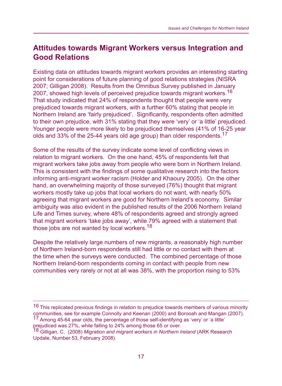### **Attitudes towards Migrant Workers versus Integration and Good Relations**

Existing data on attitudes towards migrant workers provides an interesting starting point for considerations of future planning of good relations strategies (NISRA 2007; Gilligan 2008). Results from the Omnibus Survey published in January 2007, showed high levels of perceived prejudice towards migrant workers.<sup>16</sup> That study indicated that 24% of respondents thought that people were very prejudiced towards migrant workers, with a further 60% stating that people in Northern Ireland are 'fairly prejudiced'. Significantly, respondents often admitted to their own prejudice, with 31% stating that they were 'very' or 'a little' prejudiced. Younger people were more likely to be prejudiced themselves (41% of 16-25 year olds and 33% of the 25-44 years old age group) than older respondents.<sup>17</sup>

Some of the results of the survey indicate some level of conflicting views in relation to migrant workers. On the one hand, 45% of respondents felt that migrant workers take jobs away from people who were born in Northern Ireland. This is consistent with the findings of some qualitative research into the factors informing anti-migrant worker racism (Holder and Khaoury 2005). On the other hand, an overwhelming majority of those surveyed (76%) thought that migrant workers mostly take up jobs that local workers do not want, with nearly 50% agreeing that migrant workers are good for Northern Ireland's economy. Similar ambiguity was also evident in the published results of the 2006 Northern Ireland Life and Times survey, where 48% of respondents agreed and strongly agreed that migrant workers 'take jobs away', while 79% agreed with a statement that those jobs are not wanted by local workers.<sup>18</sup>

Despite the relatively large numbers of new migrants, a reasonably high number of Northern Ireland-born respondents still had little or no contact with them at the time when the surveys were conducted. The combined percentage of those Northern Ireland-born respondents coming in contact with people from new communities very rarely or not at all was 38%, with the proportion rising to 53%

<sup>16</sup> This replicated previous findings in relation to prejudice towards members of various minority communities, see for example Connolly and Keenan (2000) and Borooah and Mangan (2007). 17 Among 45-64 year olds, the percentage of those self-identifying as 'very' or 'a little' prejudiced was 27%, while falling to 24% among those 65 or over.

<sup>18</sup> Gilligan, C. (2008) *Migration and migrant workers in Northern Ireland* (ARK Research Update, Number 53, February 2008).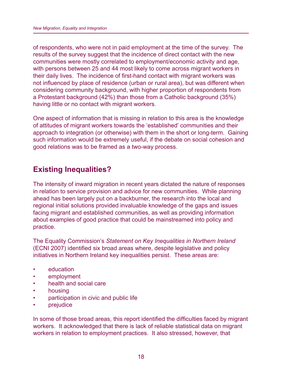of respondents, who were not in paid employment at the time of the survey. The results of the survey suggest that the incidence of direct contact with the new communities were mostly correlated to employment/economic activity and age, with persons between 25 and 44 most likely to come across migrant workers in their daily lives. The incidence of first-hand contact with migrant workers was not influenced by place of residence (urban or rural area), but was different when considering community background, with higher proportion of respondents from a Protestant background (42%) than those from a Catholic background (35%) having little or no contact with migrant workers.

One aspect of information that is missing in relation to this area is the knowledge of attitudes of migrant workers towards the 'established' communities and their approach to integration (or otherwise) with them in the short or long-term. Gaining such information would be extremely useful, if the debate on social cohesion and good relations was to be framed as a two-way process.

# **Existing Inequalities?**

The intensity of inward migration in recent years dictated the nature of responses in relation to service provision and advice for new communities. While planning ahead has been largely put on a backburner, the research into the local and regional initial solutions provided invaluable knowledge of the gaps and issues facing migrant and established communities, as well as providing information about examples of good practice that could be mainstreamed into policy and practice.

The Equality Commission's *Statement on Key Inequalities in Northern Ireland*  (ECNI 2007) identified six broad areas where, despite legislative and policy initiatives in Northern Ireland key inequalities persist. These areas are:

- education
- employment
- health and social care
- housing
- participation in civic and public life
- prejudice

In some of those broad areas, this report identified the difficulties faced by migrant workers. It acknowledged that there is lack of reliable statistical data on migrant workers in relation to employment practices. It also stressed, however, that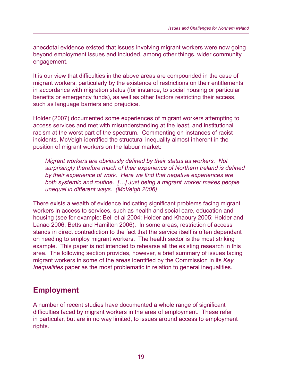anecdotal evidence existed that issues involving migrant workers were now going beyond employment issues and included, among other things, wider community engagement.

It is our view that difficulties in the above areas are compounded in the case of migrant workers, particularly by the existence of restrictions on their entitlements in accordance with migration status (for instance, to social housing or particular benefits or emergency funds), as well as other factors restricting their access, such as language barriers and prejudice.

Holder (2007) documented some experiences of migrant workers attempting to access services and met with misunderstanding at the least, and institutional racism at the worst part of the spectrum. Commenting on instances of racist incidents, McVeigh identified the structural inequality almost inherent in the position of migrant workers on the labour market:

*Migrant workers are obviously defined by their status as workers. Not* surprisingly therefore much of their experience of Northern Ireland is defined by their experience of work. Here we find that negative experiences are *both systemic and routine. […] Just being a migrant worker makes people unequal in different ways. (McVeigh 2006)*

There exists a wealth of evidence indicating significant problems facing migrant workers in access to services, such as health and social care, education and housing (see for example: Bell et al 2004; Holder and Khaoury 2005; Holder and Lanao 2006; Betts and Hamilton 2006). In some areas, restriction of access stands in direct contradiction to the fact that the service itself is often dependant on needing to employ migrant workers. The health sector is the most striking example. This paper is not intended to rehearse all the existing research in this area. The following section provides, however, a brief summary of issues facing migrant workers in some of the areas identified by the Commission in its *Key Inequalities* paper as the most problematic in relation to general inequalities.

#### **Employment**

A number of recent studies have documented a whole range of significant difficulties faced by migrant workers in the area of employment. These refer in particular, but are in no way limited, to issues around access to employment rights.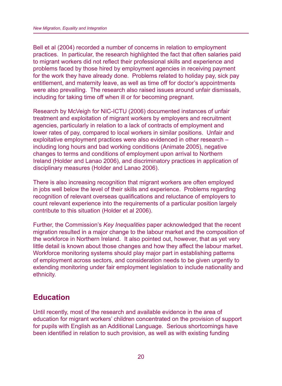Bell et al (2004) recorded a number of concerns in relation to employment practices. In particular, the research highlighted the fact that often salaries paid to migrant workers did not reflect their professional skills and experience and problems faced by those hired by employment agencies in receiving payment for the work they have already done. Problems related to holiday pay, sick pay entitlement, and maternity leave, as well as time off for doctor's appointments were also prevailing. The research also raised issues around unfair dismissals, including for taking time off when ill or for becoming pregnant.

Research by McVeigh for NIC-ICTU (2006) documented instances of unfair treatment and exploitation of migrant workers by employers and recruitment agencies, particularly in relation to a lack of contracts of employment and lower rates of pay, compared to local workers in similar positions. Unfair and exploitative employment practices were also evidenced in other research – including long hours and bad working conditions (Animate 2005), negative changes to terms and conditions of employment upon arrival to Northern Ireland (Holder and Lanao 2006), and discriminatory practices in application of disciplinary measures (Holder and Lanao 2006).

There is also increasing recognition that migrant workers are often employed in jobs well below the level of their skills and experience. Problems regarding recognition of relevant overseas qualifications and reluctance of employers to count relevant experience into the requirements of a particular position largely contribute to this situation (Holder et al 2006).

Further, the Commission's *Key Inequalities* paper acknowledged that the recent migration resulted in a major change to the labour market and the composition of the workforce in Northern Ireland. It also pointed out, however, that as yet very little detail is known about those changes and how they affect the labour market. Workforce monitoring systems should play major part in establishing patterns of employment across sectors, and consideration needs to be given urgently to extending monitoring under fair employment legislation to include nationality and ethnicity.

# **Education**

Until recently, most of the research and available evidence in the area of education for migrant workers' children concentrated on the provision of support for pupils with English as an Additional Language. Serious shortcomings have been identified in relation to such provision, as well as with existing funding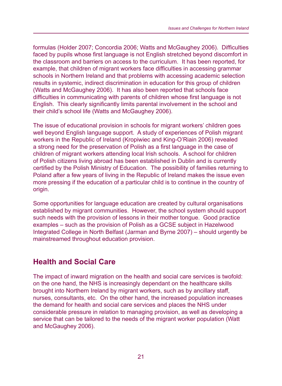formulas (Holder 2007; Concordia 2006; Watts and McGaughey 2006). Difficulties faced by pupils whose first language is not English stretched beyond discomfort in the classroom and barriers on access to the curriculum. It has been reported, for example, that children of migrant workers face difficulties in accessing grammar schools in Northern Ireland and that problems with accessing academic selection results in systemic, indirect discrimination in education for this group of children (Watts and McGaughey 2006). It has also been reported that schools face difficulties in communicating with parents of children whose first language is not English. This clearly significantly limits parental involvement in the school and their child's school life (Watts and McGaughey 2006).

The issue of educational provision in schools for migrant workers' children goes well beyond English language support. A study of experiences of Polish migrant workers in the Republic of Ireland (Kropiwiec and King-O'Riain 2006) revealed a strong need for the preservation of Polish as a first language in the case of children of migrant workers attending local Irish schools. A school for children of Polish citizens living abroad has been established in Dublin and is currently certified by the Polish Ministry of Education. The possibility of families returning to Poland after a few years of living in the Republic of Ireland makes the issue even more pressing if the education of a particular child is to continue in the country of origin.

Some opportunities for language education are created by cultural organisations established by migrant communities. However, the school system should support such needs with the provision of lessons in their mother tongue. Good practice examples – such as the provision of Polish as a GCSE subject in Hazelwood Integrated College in North Belfast (Jarman and Byrne 2007) – should urgently be mainstreamed throughout education provision.

# **Health and Social Care**

The impact of inward migration on the health and social care services is twofold: on the one hand, the NHS is increasingly dependant on the healthcare skills brought into Northern Ireland by migrant workers, such as by ancillary staff, nurses, consultants, etc. On the other hand, the increased population increases the demand for health and social care services and places the NHS under considerable pressure in relation to managing provision, as well as developing a service that can be tailored to the needs of the migrant worker population (Watt and McGaughey 2006).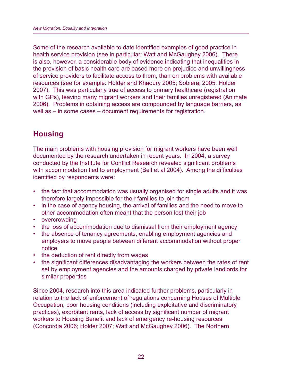Some of the research available to date identified examples of good practice in health service provision (see in particular: Watt and McGaughey 2006). There is also, however, a considerable body of evidence indicating that inequalities in the provision of basic health care are based more on prejudice and unwillingness of service providers to facilitate access to them, than on problems with available resources (see for example: Holder and Khaoury 2005; Sobieraj 2005; Holder 2007). This was particularly true of access to primary healthcare (registration with GPs), leaving many migrant workers and their families unregistered (Animate 2006). Problems in obtaining access are compounded by language barriers, as well as – in some cases – document requirements for registration.

# **Housing**

The main problems with housing provision for migrant workers have been well documented by the research undertaken in recent years. In 2004, a survey conducted by the Institute for Conflict Research revealed significant problems with accommodation tied to employment (Bell et al 2004). Among the difficulties identified by respondents were:

- the fact that accommodation was usually organised for single adults and it was therefore largely impossible for their families to join them
- in the case of agency housing, the arrival of families and the need to move to other accommodation often meant that the person lost their job
- overcrowding
- the loss of accommodation due to dismissal from their employment agency
- the absence of tenancy agreements, enabling employment agencies and employers to move people between different accommodation without proper notice
- the deduction of rent directly from wages
- the significant differences disadvantaging the workers between the rates of rent set by employment agencies and the amounts charged by private landlords for similar properties

Since 2004, research into this area indicated further problems, particularly in relation to the lack of enforcement of regulations concerning Houses of Multiple Occupation, poor housing conditions (including exploitative and discriminatory practices), exorbitant rents, lack of access by significant number of migrant workers to Housing Benefit and lack of emergency re-housing resources (Concordia 2006; Holder 2007; Watt and McGaughey 2006). The Northern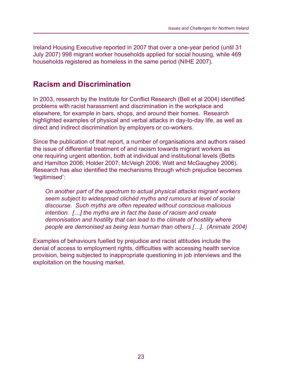Ireland Housing Executive reported in 2007 that over a one-year period (until 31 July 2007) 998 migrant worker households applied for social housing, while 469 households registered as homeless in the same period (NIHE 2007).

#### **Racism and Discrimination**

In 2003, research by the Institute for Conflict Research (Bell et al 2004) identified problems with racist harassment and discrimination in the workplace and elsewhere, for example in bars, shops, and around their homes. Research highlighted examples of physical and verbal attacks in day-to-day life, as well as direct and indirect discrimination by employers or co-workers.

Since the publication of that report, a number of organisations and authors raised the issue of differential treatment of and racism towards migrant workers as one requiring urgent attention, both at individual and institutional levels (Betts and Hamilton 2006; Holder 2007; McVeigh 2006; Watt and McGaughey 2006). Research has also identified the mechanisms through which prejudice becomes 'legitimised':

*On another part of the spectrum to actual physical attacks migrant workers seem subject to widespread clichéd myths and rumours at level of social discourse. Such myths are often repeated without conscious malicious intention. […] the myths are in fact the base of racism and create demonisation and hostility that can lead to the climate of hostility where people are demonised as being less human than others […]. (Animate 2004)*

Examples of behaviours fuelled by prejudice and racist attitudes include the denial of access to employment rights, difficulties with accessing health service provision, being subjected to inappropriate questioning in job interviews and the exploitation on the housing market.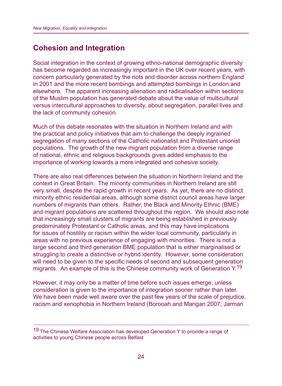### **Cohesion and Integration**

Social integration in the context of growing ethno-national demographic diversity has become regarded as increasingly important in the UK over recent years, with concern particularly generated by the riots and disorder across northern England in 2001 and the more recent bombings and attempted bombings in London and elsewhere. The apparent increasing alienation and radicalisation within sections of the Muslim population has generated debate about the value of multicultural versus intercultural approaches to diversity, about segregation, parallel lives and the lack of community cohesion.

Much of this debate resonates with the situation in Northern Ireland and with the practical and policy initiatives that aim to challenge the deeply ingrained segregation of many sections of the Catholic nationalist and Protestant unionist populations. The growth of the new migrant population from a diverse range of national, ethnic and religious backgrounds gives added emphasis to the importance of working towards a more integrated and cohesive society.

There are also real differences between the situation in Northern Ireland and the context in Great Britain. The minority communities in Northern Ireland are still very small, despite the rapid growth in recent years. As yet, there are no distinct minority ethnic residential areas, although some district council areas have larger numbers of migrants than others. Rather, the Black and Minority Ethnic (BME) and migrant populations are scattered throughout the region. We should also note that increasingly small clusters of migrants are being established in previously predominately Protestant or Catholic areas, and this may have implications for issues of hostility or racism within the wider local community, particularly in areas with no previous experience of engaging with minorities. There is not a large second and third generation BME population that is either marginalised or struggling to create a distinctive or hybrid identity. However, some consideration will need to be given to the specific needs of second and subsequent generation migrants. An example of this is the Chinese community work of Generation  $Y^{19}$ 

However, it may only be a matter of time before such issues emerge, unless consideration is given to the importance of integration sooner rather than later. We have been made well aware over the past few years of the scale of prejudice, racism and xenophobia in Northern Ireland (Borooah and Mangan 2007; Jarman

<sup>19</sup> The Chinese Welfare Association has developed Generation Y to provide a range of activities to young Chinese people across Belfast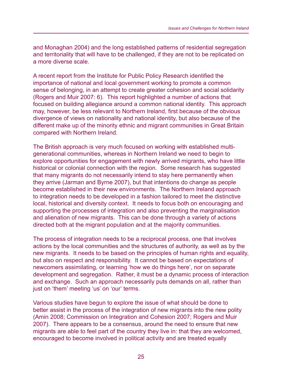and Monaghan 2004) and the long established patterns of residential segregation and territoriality that will have to be challenged, if they are not to be replicated on a more diverse scale.

A recent report from the Institute for Public Policy Research identified the importance of national and local government working to promote a common sense of belonging, in an attempt to create greater cohesion and social solidarity (Rogers and Muir 2007: 6). This report highlighted a number of actions that focused on building allegiance around a common national identity. This approach may, however, be less relevant to Northern Ireland, first because of the obvious divergence of views on nationality and national identity, but also because of the different make up of the minority ethnic and migrant communities in Great Britain compared with Northern Ireland.

The British approach is very much focused on working with established multigenerational communities, whereas in Northern Ireland we need to begin to explore opportunities for engagement with newly arrived migrants, who have little historical or colonial connection with the region. Some research has suggested that many migrants do not necessarily intend to stay here permanently when they arrive (Jarman and Byrne 2007), but that intentions do change as people become established in their new environments. The Northern Ireland approach to integration needs to be developed in a fashion tailored to meet the distinctive local, historical and diversity context. It needs to focus both on encouraging and supporting the processes of integration and also preventing the marginalisation and alienation of new migrants. This can be done through a variety of actions directed both at the migrant population and at the majority communities.

The process of integration needs to be a reciprocal process, one that involves actions by the local communities and the structures of authority, as well as by the new migrants. It needs to be based on the principles of human rights and equality, but also on respect and responsibility. It cannot be based on expectations of newcomers assimilating, or learning 'how we do things here', nor on separate development and segregation. Rather, it must be a dynamic process of interaction and exchange. Such an approach necessarily puts demands on all, rather than just on 'them' meeting 'us' on 'our' terms.

Various studies have begun to explore the issue of what should be done to better assist in the process of the integration of new migrants into the new polity (Amin 2008; Commission on Integration and Cohesion 2007; Rogers and Muir 2007). There appears to be a consensus, around the need to ensure that new migrants are able to feel part of the country they live in: that they are welcomed, encouraged to become involved in political activity and are treated equally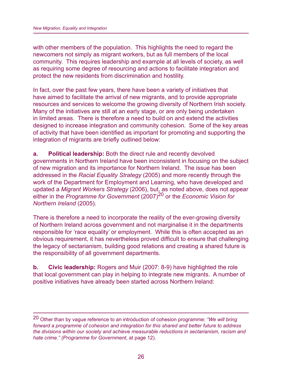with other members of the population. This highlights the need to regard the newcomers not simply as migrant workers, but as full members of the local community. This requires leadership and example at all levels of society, as well as requiring some degree of resourcing and actions to facilitate integration and protect the new residents from discrimination and hostility.

In fact, over the past few years, there have been a variety of initiatives that have aimed to facilitate the arrival of new migrants, and to provide appropriate resources and services to welcome the growing diversity of Northern Irish society. Many of the initiatives are still at an early stage, or are only being undertaken in limited areas. There is therefore a need to build on and extend the activities designed to increase integration and community cohesion. Some of the key areas of activity that have been identified as important for promoting and supporting the integration of migrants are briefly outlined below:

**a. Political leadership:** Both the direct rule and recently devolved governments in Northern Ireland have been inconsistent in focusing on the subject of new migration and its importance for Northern Ireland. The issue has been addressed in the *Racial Equality Strategy* (2005) and more recently through the work of the Department for Employment and Learning, who have developed and updated a *Migrant Workers Strategy* (2006), but, as noted above, does not appear either in the *Programme for Government* (2007)<sup>20</sup> or the *Economic Vision for Northern Ireland* (2005).

There is therefore a need to incorporate the reality of the ever-growing diversity of Northern Ireland across government and not marginalise it in the departments responsible for 'race equality' or employment. While this is often accepted as an obvious requirement, it has nevertheless proved difficult to ensure that challenging the legacy of sectarianism, building good relations and creating a shared future is the responsibility of all government departments.

**b. Civic leadership:** Rogers and Muir (2007: 8-9) have highlighted the role that local government can play in helping to integrate new migrants. A number of positive initiatives have already been started across Northern Ireland:

<sup>20</sup> Other than by vague reference to an introduction of cohesion programme: *"We will bring forward a programme of cohesion and integration for this shared and better future to address the divisions within our society and achieve measurable reductions in sectarianism, racism and hate crime." (Programme for Government*, at page 12).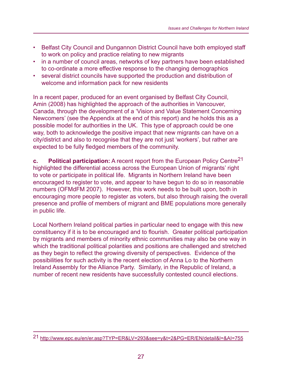- Belfast City Council and Dungannon District Council have both employed staff to work on policy and practice relating to new migrants
- in a number of council areas, networks of key partners have been established to co-ordinate a more effective response to the changing demographics
- several district councils have supported the production and distribution of welcome and information pack for new residents

In a recent paper, produced for an event organised by Belfast City Council, Amin (2008) has highlighted the approach of the authorities in Vancouver, Canada, through the development of a 'Vision and Value Statement Concerning Newcomers' (see the Appendix at the end of this report) and he holds this as a possible model for authorities in the UK. This type of approach could be one way, both to acknowledge the positive impact that new migrants can have on a city/district and also to recognise that they are not just 'workers', but rather are expected to be fully fledged members of the community.

**c.** Political participation: A recent report from the European Policy Centre<sup>21</sup> highlighted the differential access across the European Union of migrants' right to vote or participate in political life. Migrants in Northern Ireland have been encouraged to register to vote, and appear to have begun to do so in reasonable numbers (OFMdFM 2007). However, this work needs to be built upon, both in encouraging more people to register as voters, but also through raising the overall presence and profile of members of migrant and BME populations more generally in public life.

Local Northern Ireland political parties in particular need to engage with this new constituency if it is to be encouraged and to flourish. Greater political participation by migrants and members of minority ethnic communities may also be one way in which the traditional political polarities and positions are challenged and stretched as they begin to reflect the growing diversity of perspectives. Evidence of the possibilities for such activity is the recent election of Anna Lo to the Northern Ireland Assembly for the Alliance Party. Similarly, in the Republic of Ireland, a number of recent new residents have successfully contested council elections.

<sup>21</sup> http://www.epc.eu/en/er.asp?TYP=ER&LV=293&see=y&t=2&PG=ER/EN/detail&l=&AI=755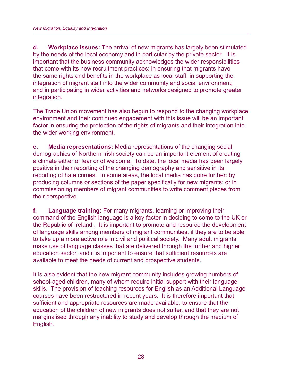**d. Workplace issues:** The arrival of new migrants has largely been stimulated by the needs of the local economy and in particular by the private sector. It is important that the business community acknowledges the wider responsibilities that come with its new recruitment practices: in ensuring that migrants have the same rights and benefits in the workplace as local staff; in supporting the integration of migrant staff into the wider community and social environment; and in participating in wider activities and networks designed to promote greater integration.

The Trade Union movement has also begun to respond to the changing workplace environment and their continued engagement with this issue will be an important factor in ensuring the protection of the rights of migrants and their integration into the wider working environment.

**e. Media representations:** Media representations of the changing social demographics of Northern Irish society can be an important element of creating a climate either of fear or of welcome. To date, the local media has been largely positive in their reporting of the changing demography and sensitive in its reporting of hate crimes. In some areas, the local media has gone further: by producing columns or sections of the paper specifically for new migrants; or in commissioning members of migrant communities to write comment pieces from their perspective.

**f. Language training:** For many migrants, learning or improving their command of the English language is a key factor in deciding to come to the UK or the Republic of Ireland . It is important to promote and resource the development of language skills among members of migrant communities, if they are to be able to take up a more active role in civil and political society. Many adult migrants make use of language classes that are delivered through the further and higher education sector, and it is important to ensure that sufficient resources are available to meet the needs of current and prospective students.

It is also evident that the new migrant community includes growing numbers of school-aged children, many of whom require initial support with their language skills. The provision of teaching resources for English as an Additional Language courses have been restructured in recent years. It is therefore important that sufficient and appropriate resources are made available, to ensure that the education of the children of new migrants does not suffer, and that they are not marginalised through any inability to study and develop through the medium of English.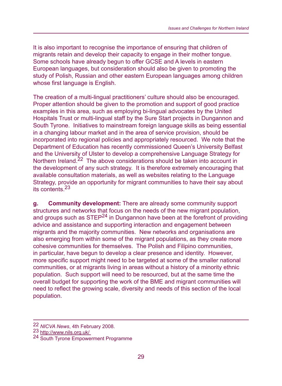It is also important to recognise the importance of ensuring that children of migrants retain and develop their capacity to engage in their mother tongue. Some schools have already begun to offer GCSE and A levels in eastern European languages, but consideration should also be given to promoting the study of Polish, Russian and other eastern European languages among children whose first language is English.

The creation of a multi-lingual practitioners' culture should also be encouraged. Proper attention should be given to the promotion and support of good practice examples in this area, such as employing bi-lingual advocates by the United Hospitals Trust or multi-lingual staff by the Sure Start projects in Dungannon and South Tyrone. Initiatives to mainstream foreign language skills as being essential in a changing labour market and in the area of service provision, should be incorporated into regional policies and appropriately resourced. We note that the Department of Education has recently commissioned Queen's University Belfast and the University of Ulster to develop a comprehensive Language Strategy for Northern Ireland.<sup>22</sup> The above considerations should be taken into account in the development of any such strategy. It is therefore extremely encouraging that available consultation materials, as well as websites relating to the Language Strategy, provide an opportunity for migrant communities to have their say about its contents.23

**g. Community development:** There are already some community support structures and networks that focus on the needs of the new migrant population, and groups such as STEP<sup>24</sup> in Dungannon have been at the forefront of providing advice and assistance and supporting interaction and engagement between migrants and the majority communities. New networks and organisations are also emerging from within some of the migrant populations, as they create more cohesive communities for themselves. The Polish and Filipino communities, in particular, have begun to develop a clear presence and identity. However, more specific support might need to be targeted at some of the smaller national communities, or at migrants living in areas without a history of a minority ethnic population. Such support will need to be resourced, but at the same time the overall budget for supporting the work of the BME and migrant communities will need to reflect the growing scale, diversity and needs of this section of the local population.

<sup>22</sup> *NICVA News*, 4th February 2008.<br>
23 http://www.nils.org.uk/<br>
24 South Tyrone Empowerment Programme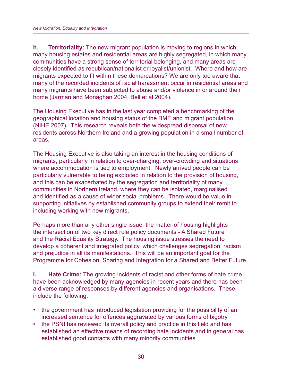**h. Territoriality:** The new migrant population is moving to regions in which many housing estates and residential areas are highly segregated, in which many communities have a strong sense of territorial belonging, and many areas are closely identified as republican/nationalist or loyalist/unionist. Where and how are migrants expected to fit within these demarcations? We are only too aware that many of the recorded incidents of racial harassment occur in residential areas and many migrants have been subjected to abuse and/or violence in or around their home (Jarman and Monaghan 2004; Bell et al 2004).

The Housing Executive has in the last year completed a benchmarking of the geographical location and housing status of the BME and migrant population (NIHE 2007). This research reveals both the widespread dispersal of new residents across Northern Ireland and a growing population in a small number of areas.

The Housing Executive is also taking an interest in the housing conditions of migrants, particularly in relation to over-charging, over-crowding and situations where accommodation is tied to employment. Newly arrived people can be particularly vulnerable to being exploited in relation to the provision of housing, and this can be exacerbated by the segregation and territoriality of many communities in Northern Ireland, where they can be isolated, marginalised and identified as a cause of wider social problems. There would be value in supporting initiatives by established community groups to extend their remit to including working with new migrants.

Perhaps more than any other single issue, the matter of housing highlights the intersection of two key direct rule policy documents - A Shared Future and the Racial Equality Strategy. The housing issue stresses the need to develop a coherent and integrated policy, which challenges segregation, racism and prejudice in all its manifestations. This will be an important goal for the Programme for Cohesion, Sharing and Integration for a Shared and Better Future.

**i. Hate Crime:** The growing incidents of racist and other forms of hate crime have been acknowledged by many agencies in recent years and there has been a diverse range of responses by different agencies and organisations. These include the following:

- the government has introduced legislation providing for the possibility of an increased sentence for offences aggravated by various forms of bigotry
- the PSNI has reviewed its overall policy and practice in this field and has established an effective means of recording hate incidents and in general has established good contacts with many minority communities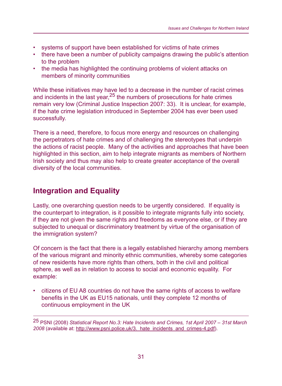- systems of support have been established for victims of hate crimes
- there have been a number of publicity campaigns drawing the public's attention to the problem
- the media has highlighted the continuing problems of violent attacks on members of minority communities

While these initiatives may have led to a decrease in the number of racist crimes and incidents in the last year,  $25$  the numbers of prosecutions for hate crimes remain very low (Criminal Justice Inspection 2007: 33). It is unclear, for example, if the hate crime legislation introduced in September 2004 has ever been used successfully.

There is a need, therefore, to focus more energy and resources on challenging the perpetrators of hate crimes and of challenging the stereotypes that underpin the actions of racist people. Many of the activities and approaches that have been highlighted in this section, aim to help integrate migrants as members of Northern Irish society and thus may also help to create greater acceptance of the overall diversity of the local communities.

# **Integration and Equality**

Lastly, one overarching question needs to be urgently considered. If equality is the counterpart to integration, is it possible to integrate migrants fully into society, if they are not given the same rights and freedoms as everyone else, or if they are subjected to unequal or discriminatory treatment by virtue of the organisation of the immigration system?

Of concern is the fact that there is a legally established hierarchy among members of the various migrant and minority ethnic communities, whereby some categories of new residents have more rights than others, both in the civil and political sphere, as well as in relation to access to social and economic equality. For example:

• citizens of EU A8 countries do not have the same rights of access to welfare benefits in the UK as EU15 nationals, until they complete 12 months of continuous employment in the UK

25 PSNI (2008) *Statistical Report No.3: Hate Incidents and Crimes, 1st April 2007 – 31st March 2008* (available at: http://www.psni.police.uk/3.\_hate\_incidents\_and\_crimes-4.pdf).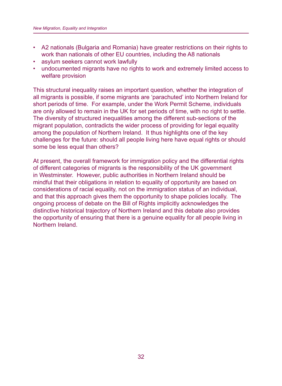- A2 nationals (Bulgaria and Romania) have greater restrictions on their rights to work than nationals of other EU countries, including the A8 nationals
- asylum seekers cannot work lawfully
- undocumented migrants have no rights to work and extremely limited access to welfare provision

This structural inequality raises an important question, whether the integration of all migrants is possible, if some migrants are 'parachuted' into Northern Ireland for short periods of time. For example, under the Work Permit Scheme, individuals are only allowed to remain in the UK for set periods of time, with no right to settle. The diversity of structured inequalities among the different sub-sections of the migrant population, contradicts the wider process of providing for legal equality among the population of Northern Ireland. It thus highlights one of the key challenges for the future: should all people living here have equal rights or should some be less equal than others?

At present, the overall framework for immigration policy and the differential rights of different categories of migrants is the responsibility of the UK government in Westminster. However, public authorities in Northern Ireland should be mindful that their obligations in relation to equality of opportunity are based on considerations of racial equality, not on the immigration status of an individual, and that this approach gives them the opportunity to shape policies locally. The ongoing process of debate on the Bill of Rights implicitly acknowledges the distinctive historical trajectory of Northern Ireland and this debate also provides the opportunity of ensuring that there is a genuine equality for all people living in Northern Ireland.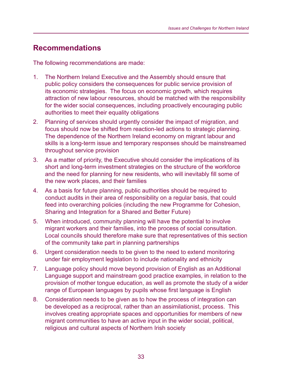## **Recommendations**

The following recommendations are made:

- 1. The Northern Ireland Executive and the Assembly should ensure that public policy considers the consequences for public service provision of its economic strategies. The focus on economic growth, which requires attraction of new labour resources, should be matched with the responsibility for the wider social consequences, including proactively encouraging public authorities to meet their equality obligations
- 2. Planning of services should urgently consider the impact of migration, and focus should now be shifted from reaction-led actions to strategic planning. The dependence of the Northern Ireland economy on migrant labour and skills is a long-term issue and temporary responses should be mainstreamed throughout service provision
- 3. As a matter of priority, the Executive should consider the implications of its short and long-term investment strategies on the structure of the workforce and the need for planning for new residents, who will inevitably fill some of the new work places, and their families
- 4. As a basis for future planning, public authorities should be required to conduct audits in their area of responsibility on a regular basis, that could feed into overarching policies (including the new Programme for Cohesion, Sharing and Integration for a Shared and Better Future)
- 5. When introduced, community planning will have the potential to involve migrant workers and their families, into the process of social consultation. Local councils should therefore make sure that representatives of this section of the community take part in planning partnerships
- 6. Urgent consideration needs to be given to the need to extend monitoring under fair employment legislation to include nationality and ethnicity
- 7. Language policy should move beyond provision of English as an Additional Language support and mainstream good practice examples, in relation to the provision of mother tongue education, as well as promote the study of a wider range of European languages by pupils whose first language is English
- 8. Consideration needs to be given as to how the process of integration can be developed as a reciprocal, rather than an assimilationist, process. This involves creating appropriate spaces and opportunities for members of new migrant communities to have an active input in the wider social, political, religious and cultural aspects of Northern Irish society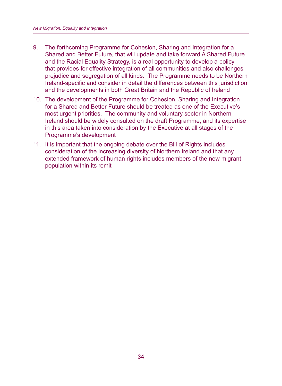- 9. The forthcoming Programme for Cohesion, Sharing and Integration for a Shared and Better Future, that will update and take forward A Shared Future and the Racial Equality Strategy, is a real opportunity to develop a policy that provides for effective integration of all communities and also challenges prejudice and segregation of all kinds. The Programme needs to be Northern Ireland-specific and consider in detail the differences between this jurisdiction and the developments in both Great Britain and the Republic of Ireland
- 10. The development of the Programme for Cohesion, Sharing and Integration for a Shared and Better Future should be treated as one of the Executive's most urgent priorities. The community and voluntary sector in Northern Ireland should be widely consulted on the draft Programme, and its expertise in this area taken into consideration by the Executive at all stages of the Programme's development
- 11. It is important that the ongoing debate over the Bill of Rights includes consideration of the increasing diversity of Northern Ireland and that any extended framework of human rights includes members of the new migrant population within its remit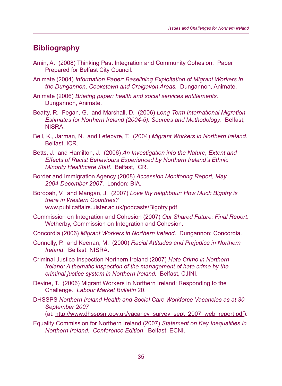# **Bibliography**

- Amin, A. (2008) Thinking Past Integration and Community Cohesion. Paper Prepared for Belfast City Council.
- Animate (2004) *Information Paper: Baselining Exploitation of Migrant Workers in the Dungannon, Cookstown and Craigavon Areas.* Dungannon, Animate.
- Animate (2006) *Briefing paper: health and social services entitlements.* Dungannon, Animate.
- Beatty, R. Fegan, G. and Marshall, D. (2006) *Long-Term International Migration Estimates for Northern Ireland (2004-5): Sources and Methodology*. Belfast, NISRA.
- Bell, K., Jarman, N. and Lefebvre, T. (2004) *Migrant Workers in Northern Ireland*. Belfast, ICR.
- Betts, J. and Hamilton, J. (2006) *An Investigation into the Nature, Extent and Effects of Racist Behaviours Experienced by Northern Ireland's Ethnic Minority Healthcare Staff.* Belfast, ICR.
- Border and Immigration Agency (2008) *Accession Monitoring Report, May 2004-December 2007*. London: BIA.
- Borooah, V. and Mangan, J. (2007) *Love thy neighbour: How Much Bigotry is there in Western Countries?* www.publicaffairs.ulster.ac.uk/podcasts/Bigotry.pdf
- Commission on Integration and Cohesion (2007) *Our Shared Future: Final Report*. Wetherby, Commission on Integration and Cohesion.
- Concordia (2006) *Migrant Workers in Northern Ireland*. Dungannon: Concordia.
- Connolly, P. and Keenan, M. (2000) *Racial Attitudes and Prejudice in Northern Ireland*. Belfast, NISRA.
- Criminal Justice Inspection Northern Ireland (2007) *Hate Crime in Northern Ireland: A thematic inspection of the management of hate crime by the criminal justice system in Northern Ireland.* Belfast, CJINI.
- Devine, T. (2006) Migrant Workers in Northern Ireland: Responding to the Challenge. *Labour Market Bulletin* 20.
- DHSSPS *Northern Ireland Health and Social Care Workforce Vacancies as at 30 September 2007*

(at: http://www.dhsspsni.gov.uk/vacancy\_survey\_sept\_2007\_web\_report.pdf).

Equality Commission for Northern Ireland (2007) *Statement on Key Inequalities in Northern Ireland. Conference Edition*. Belfast: ECNI.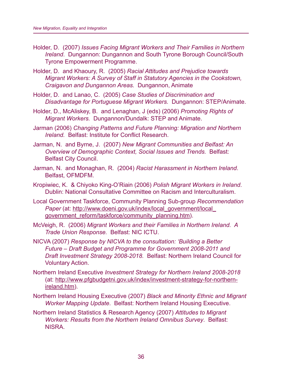- Holder, D. (2007) *Issues Facing Migrant Workers and Their Families in Northern Ireland*. Dungannon: Dungannon and South Tyrone Borough Council/South Tyrone Empowerment Programme.
- Holder, D. and Khaoury, R. (2005) *Racial Attitudes and Prejudice towards Migrant Workers: A Survey of Staff in Statutory Agencies in the Cookstown, Craigavon and Dungannon Areas.* Dungannon, Animate
- Holder, D. and Lanao, C. (2005) *Case Studies of Discrimination and Disadvantage for Portuguese Migrant Workers.* Dungannon: STEP/Animate.
- Holder, D., McAliskey, B. and Lenaghan, J (eds) (2006) *Promoting Rights of Migrant Workers.* Dungannon/Dundalk: STEP and Animate.
- Jarman (2006) *Changing Patterns and Future Planning: Migration and Northern Ireland.* Belfast: Institute for Conflict Research.
- Jarman, N. and Byrne, J. (2007) *New Migrant Communities and Belfast: An Overview of Demographic Context, Social Issues and Trends.* Belfast: Belfast City Council.
- Jarman, N. and Monaghan, R. (2004) *Racist Harassment in Northern Ireland*. Belfast, OFMDFM.
- Kropiwiec, K. & Chiyoko King-O'Riain (2006) *Polish Migrant Workers in Ireland*. Dublin: National Consultative Committee on Racism and Interculturalism.
- Local Government Taskforce, Community Planning Sub-group *Recommendation*  Paper (at: http://www.doeni.gov.uk/index/local\_government/local\_ government reform/taskforce/community planning.htm).
- McVeigh, R. (2006) *Migrant Workers and their Families in Northern Ireland. A Trade Union Response.* Belfast: NIC ICTU.
- NICVA (2007) *Response by NICVA to the consultation: 'Building a Better Future – Draft Budget and Programme for Government 2008-2011 and Draft Investment Strategy 2008-2018.* Belfast: Northern Ireland Council for Voluntary Action.
- Northern Ireland Executive *Investment Strategy for Northern Ireland 2008-2018* (at: http://www.pfgbudgetni.gov.uk/index/investment-strategy-for-northernireland.htm).
- Northern Ireland Housing Executive (2007) *Black and Minority Ethnic and Migrant Worker Mapping Update*. Belfast: Northern Ireland Housing Executive.
- Northern Ireland Statistics & Research Agency (2007) *Attitudes to Migrant Workers: Results from the Northern Ireland Omnibus Survey*. Belfast: NISRA.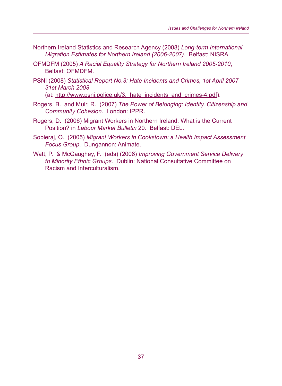- Northern Ireland Statistics and Research Agency (2008) *Long-term International Migration Estimates for Northern Ireland (2006-2007)*. Belfast: NISRA.
- OFMDFM (2005) *A Racial Equality Strategy for Northern Ireland 2005-2010*, Belfast: OFMDFM.
- PSNI (2008) *Statistical Report No.3: Hate Incidents and Crimes, 1st April 2007 31st March 2008*

(at: http://www.psni.police.uk/3. hate incidents and crimes-4.pdf).

- Rogers, B. and Muir, R. (2007) *The Power of Belonging: Identity, Citizenship and Community Cohesion.* London: IPPR.
- Rogers, D. (2006) Migrant Workers in Northern Ireland: What is the Current Position? in *Labour Market Bulletin* 20. Belfast: DEL.
- Sobieraj, O. (2005) *Migrant Workers in Cookstown: a Health Impact Assessment Focus Group*. Dungannon: Animate.
- Watt, P. & McGaughey, F. (eds) (2006) *Improving Government Service Delivery to Minority Ethnic Groups.* Dublin: National Consultative Committee on Racism and Interculturalism.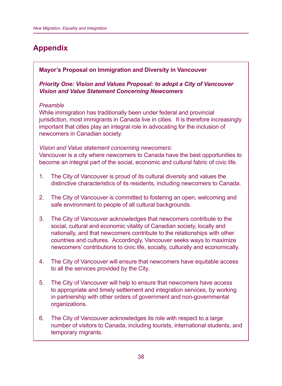# **Appendix**

#### **Mayor's Proposal on Immigration and Diversity in Vancouver**

*Priority One: Vision and Values Proposal: to adopt a City of Vancouver Vision and Value Statement Concerning Newcomers*

#### *Preamble*

While immigration has traditionally been under federal and provincial jurisdiction, most immigrants in Canada live in cities. It is therefore increasingly important that cities play an integral role in advocating for the inclusion of newcomers in Canadian society.

#### *Vision and Value statement concerning newcomers:*

Vancouver is a city where newcomers to Canada have the best opportunities to become an integral part of the social, economic and cultural fabric of civic life.

- 1. The City of Vancouver is proud of its cultural diversity and values the distinctive characteristics of its residents, including newcomers to Canada.
- 2. The City of Vancouver is committed to fostering an open, welcoming and safe environment to people of all cultural backgrounds.
- 3. The City of Vancouver acknowledges that newcomers contribute to the social, cultural and economic vitality of Canadian society, locally and nationally, and that newcomers contribute to the relationships with other countries and cultures. Accordingly, Vancouver seeks ways to maximize newcomers' contributions to civic life, socially, culturally and economically.
- 4. The City of Vancouver will ensure that newcomers have equitable access to all the services provided by the City.
- 5. The City of Vancouver will help to ensure that newcomers have access to appropriate and timely settlement and integration services, by working in partnership with other orders of government and non-governmental organizations.
- 6. The City of Vancouver acknowledges its role with respect to a large number of visitors to Canada, including tourists, international students, and temporary migrants.